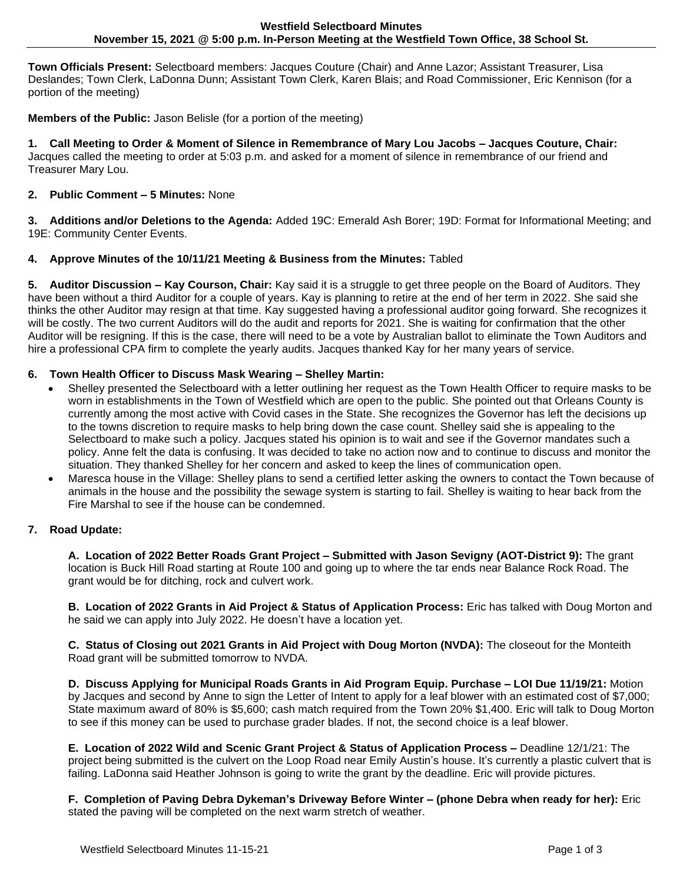**Town Officials Present:** Selectboard members: Jacques Couture (Chair) and Anne Lazor; Assistant Treasurer, Lisa Deslandes; Town Clerk, LaDonna Dunn; Assistant Town Clerk, Karen Blais; and Road Commissioner, Eric Kennison (for a portion of the meeting)

**Members of the Public:** Jason Belisle (for a portion of the meeting)

**1. Call Meeting to Order & Moment of Silence in Remembrance of Mary Lou Jacobs – Jacques Couture, Chair:** Jacques called the meeting to order at 5:03 p.m. and asked for a moment of silence in remembrance of our friend and Treasurer Mary Lou.

## **2. Public Comment – 5 Minutes:** None

**3. Additions and/or Deletions to the Agenda:** Added 19C: Emerald Ash Borer; 19D: Format for Informational Meeting; and 19E: Community Center Events.

### **4. Approve Minutes of the 10/11/21 Meeting & Business from the Minutes:** Tabled

**5. Auditor Discussion – Kay Courson, Chair:** Kay said it is a struggle to get three people on the Board of Auditors. They have been without a third Auditor for a couple of years. Kay is planning to retire at the end of her term in 2022. She said she thinks the other Auditor may resign at that time. Kay suggested having a professional auditor going forward. She recognizes it will be costly. The two current Auditors will do the audit and reports for 2021. She is waiting for confirmation that the other Auditor will be resigning. If this is the case, there will need to be a vote by Australian ballot to eliminate the Town Auditors and hire a professional CPA firm to complete the yearly audits. Jacques thanked Kay for her many years of service.

### **6. Town Health Officer to Discuss Mask Wearing – Shelley Martin:**

- Shelley presented the Selectboard with a letter outlining her request as the Town Health Officer to require masks to be worn in establishments in the Town of Westfield which are open to the public. She pointed out that Orleans County is currently among the most active with Covid cases in the State. She recognizes the Governor has left the decisions up to the towns discretion to require masks to help bring down the case count. Shelley said she is appealing to the Selectboard to make such a policy. Jacques stated his opinion is to wait and see if the Governor mandates such a policy. Anne felt the data is confusing. It was decided to take no action now and to continue to discuss and monitor the situation. They thanked Shelley for her concern and asked to keep the lines of communication open.
- Maresca house in the Village: Shelley plans to send a certified letter asking the owners to contact the Town because of animals in the house and the possibility the sewage system is starting to fail. Shelley is waiting to hear back from the Fire Marshal to see if the house can be condemned.

#### **7. Road Update:**

**A. Location of 2022 Better Roads Grant Project – Submitted with Jason Sevigny (AOT-District 9):** The grant location is Buck Hill Road starting at Route 100 and going up to where the tar ends near Balance Rock Road. The grant would be for ditching, rock and culvert work.

**B. Location of 2022 Grants in Aid Project & Status of Application Process:** Eric has talked with Doug Morton and he said we can apply into July 2022. He doesn't have a location yet.

**C. Status of Closing out 2021 Grants in Aid Project with Doug Morton (NVDA):** The closeout for the Monteith Road grant will be submitted tomorrow to NVDA.

**D. Discuss Applying for Municipal Roads Grants in Aid Program Equip. Purchase – LOI Due 11/19/21:** Motion by Jacques and second by Anne to sign the Letter of Intent to apply for a leaf blower with an estimated cost of \$7,000; State maximum award of 80% is \$5,600; cash match required from the Town 20% \$1,400. Eric will talk to Doug Morton to see if this money can be used to purchase grader blades. If not, the second choice is a leaf blower.

**E. Location of 2022 Wild and Scenic Grant Project & Status of Application Process –** Deadline 12/1/21: The project being submitted is the culvert on the Loop Road near Emily Austin's house. It's currently a plastic culvert that is failing. LaDonna said Heather Johnson is going to write the grant by the deadline. Eric will provide pictures.

**F. Completion of Paving Debra Dykeman's Driveway Before Winter – (phone Debra when ready for her):** Eric stated the paving will be completed on the next warm stretch of weather.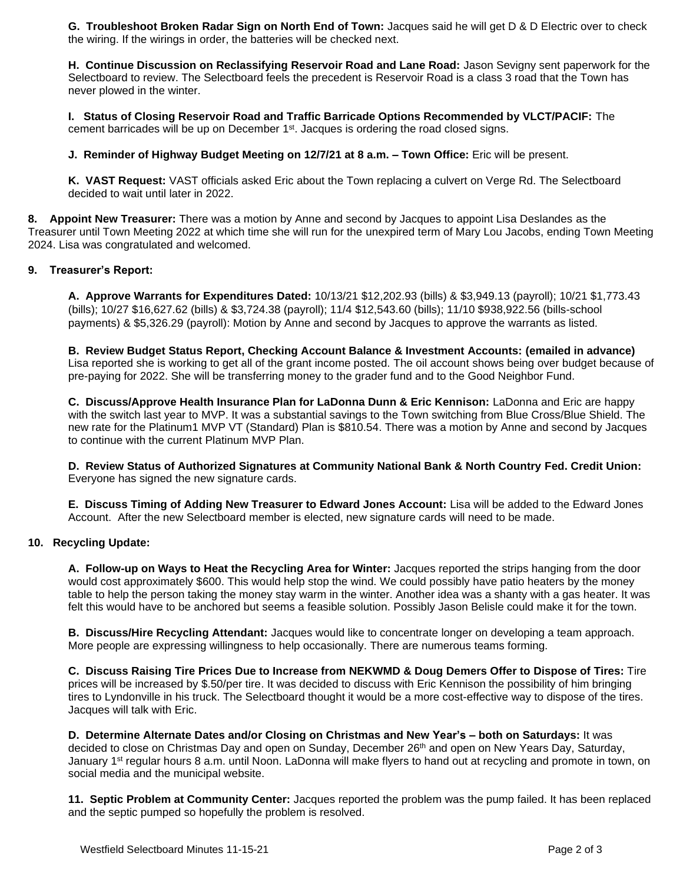**G. Troubleshoot Broken Radar Sign on North End of Town:** Jacques said he will get D & D Electric over to check the wiring. If the wirings in order, the batteries will be checked next.

**H. Continue Discussion on Reclassifying Reservoir Road and Lane Road:** Jason Sevigny sent paperwork for the Selectboard to review. The Selectboard feels the precedent is Reservoir Road is a class 3 road that the Town has never plowed in the winter.

**I. Status of Closing Reservoir Road and Traffic Barricade Options Recommended by VLCT/PACIF:** The cement barricades will be up on December 1<sup>st</sup>. Jacques is ordering the road closed signs.

**J. Reminder of Highway Budget Meeting on 12/7/21 at 8 a.m. – Town Office:** Eric will be present.

**K. VAST Request:** VAST officials asked Eric about the Town replacing a culvert on Verge Rd. The Selectboard decided to wait until later in 2022.

**8. Appoint New Treasurer:** There was a motion by Anne and second by Jacques to appoint Lisa Deslandes as the Treasurer until Town Meeting 2022 at which time she will run for the unexpired term of Mary Lou Jacobs, ending Town Meeting 2024. Lisa was congratulated and welcomed.

#### **9. Treasurer's Report:**

**A. Approve Warrants for Expenditures Dated:** 10/13/21 \$12,202.93 (bills) & \$3,949.13 (payroll); 10/21 \$1,773.43 (bills); 10/27 \$16,627.62 (bills) & \$3,724.38 (payroll); 11/4 \$12,543.60 (bills); 11/10 \$938,922.56 (bills-school payments) & \$5,326.29 (payroll): Motion by Anne and second by Jacques to approve the warrants as listed.

**B. Review Budget Status Report, Checking Account Balance & Investment Accounts: (emailed in advance)**  Lisa reported she is working to get all of the grant income posted. The oil account shows being over budget because of pre-paying for 2022. She will be transferring money to the grader fund and to the Good Neighbor Fund.

**C. Discuss/Approve Health Insurance Plan for LaDonna Dunn & Eric Kennison:** LaDonna and Eric are happy with the switch last year to MVP. It was a substantial savings to the Town switching from Blue Cross/Blue Shield. The new rate for the Platinum1 MVP VT (Standard) Plan is \$810.54. There was a motion by Anne and second by Jacques to continue with the current Platinum MVP Plan.

**D. Review Status of Authorized Signatures at Community National Bank & North Country Fed. Credit Union:** Everyone has signed the new signature cards.

**E. Discuss Timing of Adding New Treasurer to Edward Jones Account:** Lisa will be added to the Edward Jones Account. After the new Selectboard member is elected, new signature cards will need to be made.

### **10. Recycling Update:**

**A. Follow-up on Ways to Heat the Recycling Area for Winter:** Jacques reported the strips hanging from the door would cost approximately \$600. This would help stop the wind. We could possibly have patio heaters by the money table to help the person taking the money stay warm in the winter. Another idea was a shanty with a gas heater. It was felt this would have to be anchored but seems a feasible solution. Possibly Jason Belisle could make it for the town.

**B. Discuss/Hire Recycling Attendant:** Jacques would like to concentrate longer on developing a team approach. More people are expressing willingness to help occasionally. There are numerous teams forming.

**C. Discuss Raising Tire Prices Due to Increase from NEKWMD & Doug Demers Offer to Dispose of Tires:** Tire prices will be increased by \$.50/per tire. It was decided to discuss with Eric Kennison the possibility of him bringing tires to Lyndonville in his truck. The Selectboard thought it would be a more cost-effective way to dispose of the tires. Jacques will talk with Eric.

**D. Determine Alternate Dates and/or Closing on Christmas and New Year's – both on Saturdays:** It was decided to close on Christmas Day and open on Sunday, December 26<sup>th</sup> and open on New Years Day, Saturday, January 1<sup>st</sup> regular hours 8 a.m. until Noon. LaDonna will make flyers to hand out at recycling and promote in town, on social media and the municipal website.

**11. Septic Problem at Community Center:** Jacques reported the problem was the pump failed. It has been replaced and the septic pumped so hopefully the problem is resolved.